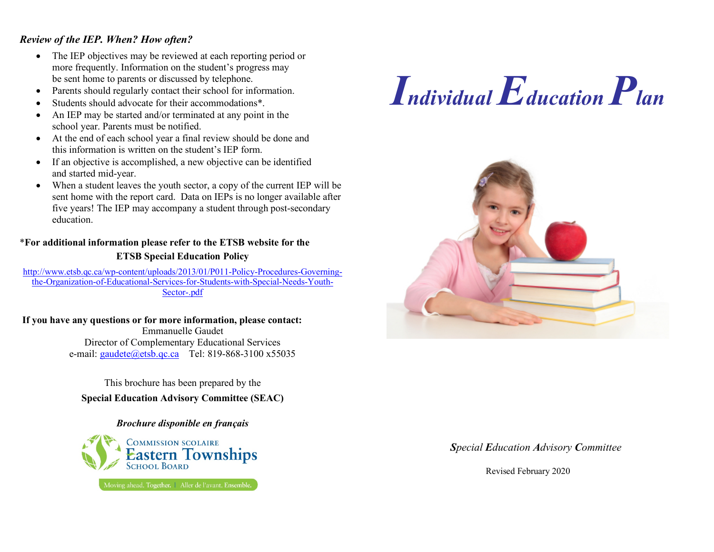#### *Review of the IEP. When? How often?*

- The IEP objectives may be reviewed at each reporting period or more frequently. Information on the student's progress may be sent home to parents or discussed by telephone.
- Parents should regularly contact their school for information.
- Students should advocate for their accommodations\*.
- An IEP may be started and/or terminated at any point in the school year. Parents must be notified.
- At the end of each school year a final review should be done and this information is written on the student's IEP form.
- If an objective is accomplished, a new objective can be identified and started mid-year.
- When a student leaves the youth sector, a copy of the current IEP will be sent home with the report card. Data on IEPs is no longer available after five years! The IEP may accompany a student through post-secondary education.

#### \***For additional information please refer to the ETSB website for the ETSB Special Education Policy**

http://www.etsb.qc.ca/wp-content/uploads/2013/01/P011-Policy-Procedures-Governingthe-Organization-of-Educational-Services-for-Students-with-Special-Needs-Youth-Sector-.pdf

#### **If you have any questions or for more information, please contact:**

Emmanuelle Gaudet Director of Complementary Educational Services e-mail: gaudete@etsb.qc.ca Tel: 819-868-3100 x55035

This brochure has been prepared by the **Special Education Advisory Committee (SEAC)**

#### *Brochure disponible en français*

**COMMISSION SCOLAIRE** Eastern Townships Moving ahead. Together. | Aller de l'avant. Ensemble.





#### *Special Education Advisory Committee*

Revised February 2020